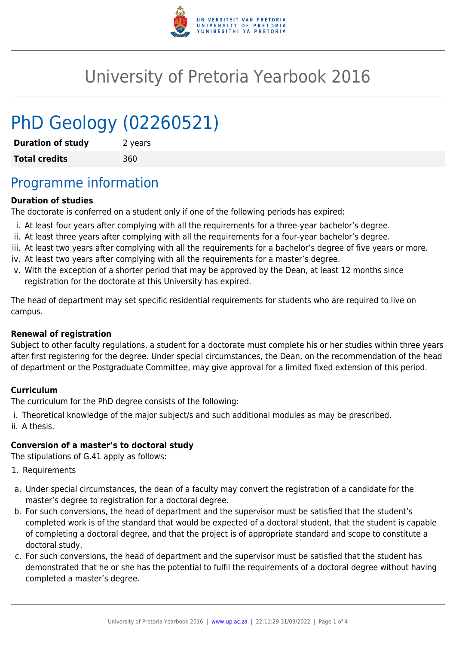

# University of Pretoria Yearbook 2016

# PhD Geology (02260521)

| <b>Duration of study</b> | 2 years |
|--------------------------|---------|
| <b>Total credits</b>     | 360     |

## Programme information

### **Duration of studies**

The doctorate is conferred on a student only if one of the following periods has expired:

- i. At least four years after complying with all the requirements for a three-year bachelor's degree.
- ii. At least three years after complying with all the requirements for a four-year bachelor's degree.
- iii. At least two years after complying with all the requirements for a bachelor's degree of five years or more.
- iv. At least two years after complying with all the requirements for a master's degree.
- v. With the exception of a shorter period that may be approved by the Dean, at least 12 months since registration for the doctorate at this University has expired.

The head of department may set specific residential requirements for students who are required to live on campus.

#### **Renewal of registration**

Subject to other faculty regulations, a student for a doctorate must complete his or her studies within three years after first registering for the degree. Under special circumstances, the Dean, on the recommendation of the head of department or the Postgraduate Committee, may give approval for a limited fixed extension of this period.

#### **Curriculum**

The curriculum for the PhD degree consists of the following:

i. Theoretical knowledge of the major subject/s and such additional modules as may be prescribed. ii. A thesis.

#### **Conversion of a master's to doctoral study**

The stipulations of G.41 apply as follows:

- 1. Requirements
- a. Under special circumstances, the dean of a faculty may convert the registration of a candidate for the master's degree to registration for a doctoral degree.
- b. For such conversions, the head of department and the supervisor must be satisfied that the student's completed work is of the standard that would be expected of a doctoral student, that the student is capable of completing a doctoral degree, and that the project is of appropriate standard and scope to constitute a doctoral study.
- c. For such conversions, the head of department and the supervisor must be satisfied that the student has demonstrated that he or she has the potential to fulfil the requirements of a doctoral degree without having completed a master's degree.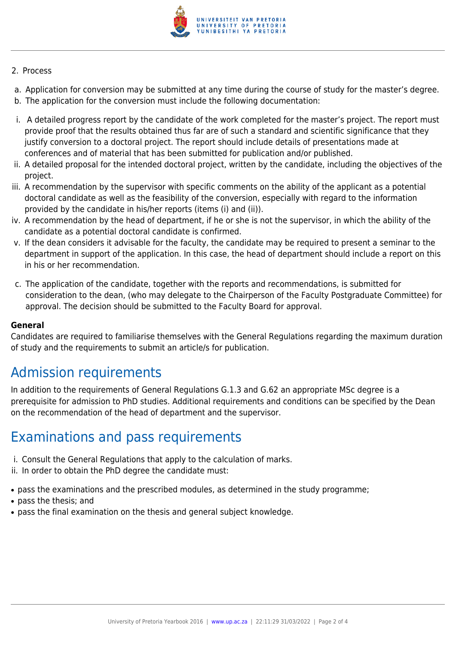

#### 2. Process

- a. Application for conversion may be submitted at any time during the course of study for the master's degree.
- b. The application for the conversion must include the following documentation:
- i. A detailed progress report by the candidate of the work completed for the master's project. The report must provide proof that the results obtained thus far are of such a standard and scientific significance that they justify conversion to a doctoral project. The report should include details of presentations made at conferences and of material that has been submitted for publication and/or published.
- ii. A detailed proposal for the intended doctoral project, written by the candidate, including the objectives of the project.
- iii. A recommendation by the supervisor with specific comments on the ability of the applicant as a potential doctoral candidate as well as the feasibility of the conversion, especially with regard to the information provided by the candidate in his/her reports (items (i) and (ii)).
- iv. A recommendation by the head of department, if he or she is not the supervisor, in which the ability of the candidate as a potential doctoral candidate is confirmed.
- v. If the dean considers it advisable for the faculty, the candidate may be required to present a seminar to the department in support of the application. In this case, the head of department should include a report on this in his or her recommendation.
- c. The application of the candidate, together with the reports and recommendations, is submitted for consideration to the dean, (who may delegate to the Chairperson of the Faculty Postgraduate Committee) for approval. The decision should be submitted to the Faculty Board for approval.

#### **General**

Candidates are required to familiarise themselves with the General Regulations regarding the maximum duration of study and the requirements to submit an article/s for publication.

## Admission requirements

In addition to the requirements of General Regulations G.1.3 and G.62 an appropriate MSc degree is a prerequisite for admission to PhD studies. Additional requirements and conditions can be specified by the Dean on the recommendation of the head of department and the supervisor.

### Examinations and pass requirements

- i. Consult the General Regulations that apply to the calculation of marks.
- ii. In order to obtain the PhD degree the candidate must:
- pass the examinations and the prescribed modules, as determined in the study programme;
- pass the thesis: and
- pass the final examination on the thesis and general subject knowledge.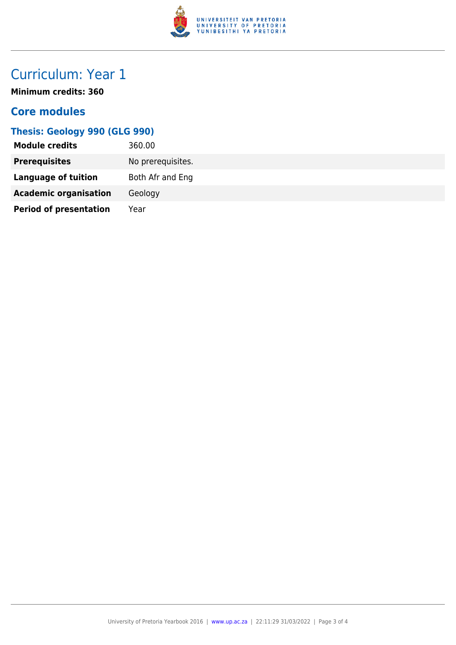

# Curriculum: Year 1

**Minimum credits: 360**

### **Core modules**

### **Thesis: Geology 990 (GLG 990)**

| <b>Module credits</b>         | 360.00            |
|-------------------------------|-------------------|
| <b>Prerequisites</b>          | No prerequisites. |
| Language of tuition           | Both Afr and Eng  |
| <b>Academic organisation</b>  | Geology           |
| <b>Period of presentation</b> | Year              |